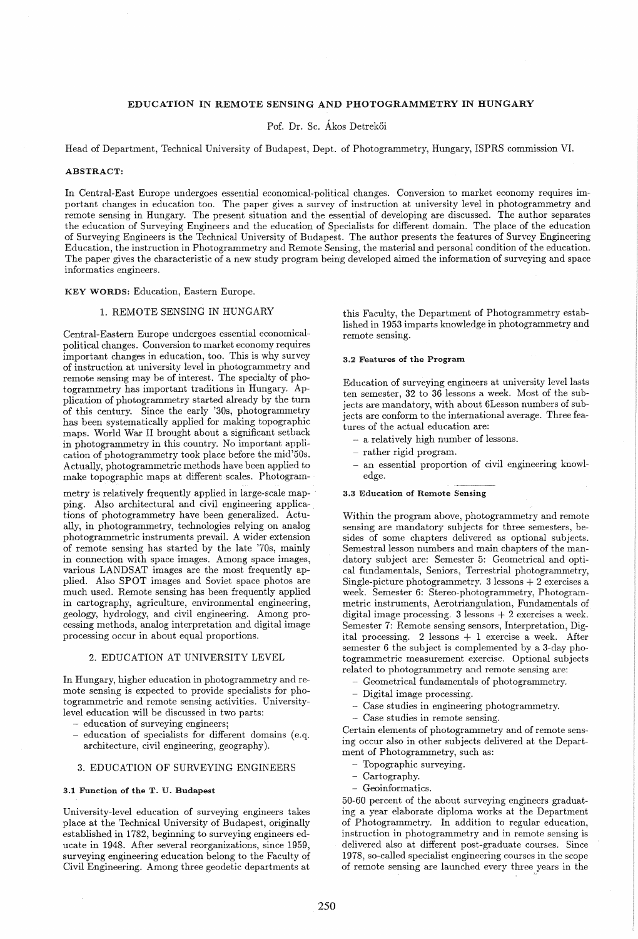# EDUCATION IN REMOTE SENSING AND PHOTOGRAMMETRY IN HUNGARY

Pof. Dr. Sc. Ákos Detrekői

Head of Department, Technical University of Budapest, Dept. of Photogrammetry, Hungary, ISPRS commission VI.

#### ABSTRACT:

In Central-East Europe undergoes essential economical-political changes. Conversion to market economy requires important changes in education too. The paper gives a survey of instruction at university level in photogrammetry and remote sensing in Hungary. The present situation and the essential of developing are discussed. The author separates the education of Surveying Engineers and the education of Specialists for different domain. The place of the education of Surveying Engineers is the Technical University of Budapest. The author presents the features of Survey Engineering Education, the instruction in Photogrammetry and Remote Sensing, the material and personal condition of the education. The paper gives the characteristic of a new study program being developed aimed the information of surveying and space informatics engineers.

### KEY WORDS: Education, Eastern Europe.

# 1. REMOTE SENSING IN HUNGARY

Central-Eastern Europe undergoes essential economicalpolitical changes. Conversion to market economy requires important changes in education, too. This is why survey of instruction at university level in photogrammetry and remote sensing may be of interest. The specialty of photogrammetry has important traditions in Hungary. Application of photogrammetry started already by the turn of this century. Since the early '30s, photogrammetry has been systematically applied for making topographic maps. World War II brought about a significant setback in photogrammetry in this country. No important application of photogrammetry took place before the mid'50s. Actually, photogrammetric methods have been applied to make topographic maps at different scales. Photogram-

metry is relatively frequently applied in large-scale map- ' ping. Also architectural and civil engineering applications of photogrammetry have been generalized. Actually, in photogrammetry, technologies relying on analog photogrammetric instruments prevail. A wider extension of remote sensing has started by the late '70s, maihly in connection with space images. Among space images, various LANDSAT images are the most frequently applied. Also SPOT images and Soviet space photos are much used. Remote sensing has been frequently applied in cartography, agriculture, environmental engineering, geology, hydrology, and civil engineering. Among processing methods, analog interpretation and digital image processing occur in about equal proportions.

## 2. EDUCATION AT UNIVERSITY LEVEL

In Hungary, higher education in photogrammetry and remote sensing is expected to provide specialists for photogrammetric and remote sensing activities. Universitylevel education will be discussed in two parts:

- education of surveying engineers;
- education of specialists for different domains (e.q. architecture, civil engineering, geography).

## 3. EDUCATION OF SURVEYING ENGINEERS

## 3.1 Function of the T. U. Budapest

University-level education of surveying engineers takes place at the Technical University of Budapest, originally established in 1782, beginning to surveying engineers educate in 1948. After several reorganizations, since 1959, surveying engineering education belong to the Faculty of Civil Engineering. Among three geodetic departments at

this Faculty, the Department of Photogrammetry established in 1953 imparts knowledge in photogrammetry and remote sensing.

#### 3.2 Features of the Program

Education of surveying engineers at university level lasts ten semester, 32 to 36 lessons a week. Most of the subjects are mandatory, with about 6Lesson numbers of subjects are conform to the international average. Three features of the actual education are:

- a relatively high number of lessons.
- rather rigid program.
- an essential proportion of civil engineering knowledge.

#### 3.3 Education of Remote Sensing

Within the program above, photogrammetry and remote sensing are mandatory subjects for three semesters, besides of some chapters delivered as optional subjects. Semestral lesson numbers and main chapters of the mandatory subject are: Semester 5: Geometrical and optical fundamentals, Seniors, Terrestrial photogrammetry, Single-picture photogrammetry.  $3$  lessons  $+$  2 exercises a week. Semester 6: Stereo-photogrammetry, Photogram- metric instruments, Aerotriangulation, Fundamentals of digital image processing. 3 lessons + 2 exercises a week. Semester 7: Remote sensing sensors, Interpretation, Digital processing. 2 lessons + 1 exercise a week. After semester 6 the subject is complemented by a 3-day photogrammetric measurement exercise. Optional subjects related to photogrammetry and remote sensing are:

- Geometrical fundamentals of photogrammetry.
- Digital image processing.
- Case studies in engineering photogrammetry.
- Case studies in remote sensing.

Certain elements of photogrammetry and of remote sensing occur also in other subjects delivered at the Department of Photogrammetry, such as:

- Topographic surveying.
- Cartography.
- Geoinformatics.

50-60 percent of the about surveying engineers graduating a year elaborate diploma works at the Department of Photogrammetry. In addition to regular education, instruction in photogrammetry and in remote sensing is delivered also at different post-graduate courses. Since 1978, so-called specialist engineering courses in the scope of remote sensing are launched every three years in the